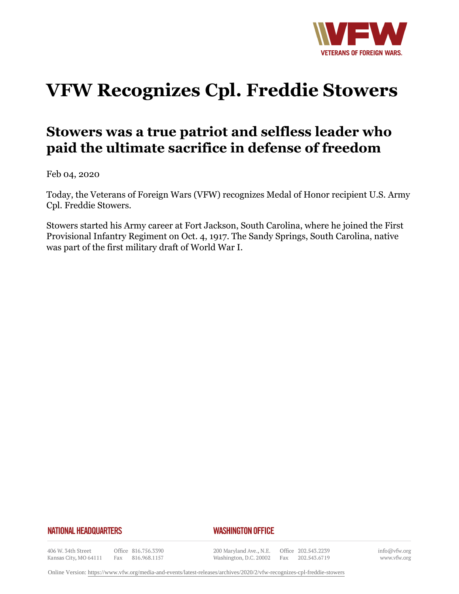

## **VFW Recognizes Cpl. Freddie Stowers**

## **Stowers was a true patriot and selfless leader who paid the ultimate sacrifice in defense of freedom**

Feb 04, 2020

Today, the Veterans of Foreign Wars (VFW) recognizes Medal of Honor recipient U.S. Army Cpl. Freddie Stowers.

Stowers started his Army career at Fort Jackson, South Carolina, where he joined the First Provisional Infantry Regiment on Oct. 4, 1917. The Sandy Springs, South Carolina, native was part of the first military draft of World War I.

## **NATIONAL HEADQUARTERS**

## *WASHINGTON OFFICE*

406 W. 34th Street Kansas City, MO 64111

Office 816.756.3390 Fax 816.968.1157

200 Maryland Ave., N.E. Washington, D.C. 20002

Office 202.543.2239 Fax 202.543.6719 info@vfw.org www.vfw.org

Online Version:<https://www.vfw.org/media-and-events/latest-releases/archives/2020/2/vfw-recognizes-cpl-freddie-stowers>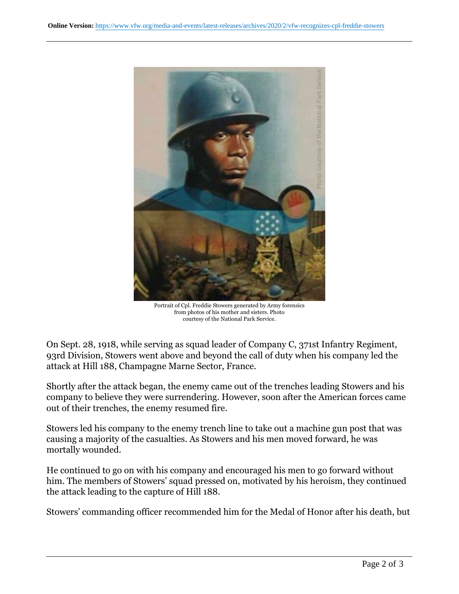

Portrait of Cpl. Freddie Stowers generated by Army forensics from photos of his mother and sisters. Photo courtesy of the National Park Service.

On Sept. 28, 1918, while serving as squad leader of Company C, 371st Infantry Regiment, 93rd Division, Stowers went above and beyond the call of duty when his company led the attack at Hill 188, Champagne Marne Sector, France.

Shortly after the attack began, the enemy came out of the trenches leading Stowers and his company to believe they were surrendering. However, soon after the American forces came out of their trenches, the enemy resumed fire.

Stowers led his company to the enemy trench line to take out a machine gun post that was causing a majority of the casualties. As Stowers and his men moved forward, he was mortally wounded.

He continued to go on with his company and encouraged his men to go forward without him. The members of Stowers' squad pressed on, motivated by his heroism, they continued the attack leading to the capture of Hill 188.

Stowers' commanding officer recommended him for the Medal of Honor after his death, but